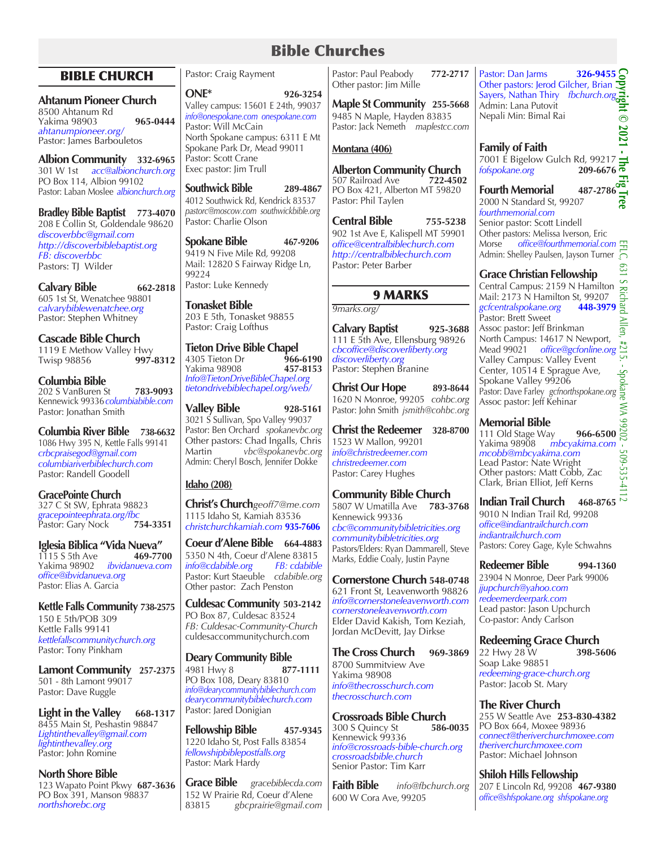# Bible Churches

# BIBLE CHURCH

# **Ahtanum Pioneer Church**

8500 Ahtanum Rd Yakima 98903 **965-0444** *ahtanumpioneer.org/* Pastor: James Barbouletos

**Albion Community 332-6965** 301 W 1st *acc@albionchurch.org* PO Box 114, Albion 99102 Pastor: Laban Moslee *albionchurch.org*

**Bradley Bible Baptist 773-4070** 208 E Collin St, Goldendale 98620 *discoverbbc@gmail.com http://discoverbiblebaptist.org FB: discoverbbc* Pastors: TJ Wilder

**Calvary Bible 662-2818**  605 1st St, Wenatchee 98801 *calvarybiblewenatchee.org* Pastor: Stephen Whitney

**Cascade Bible Church** 1119 E Methow Valley Hwy<br>Twisp 98856 997-8312 Twisp 98856 **997-8312**

**Columbia Bible** 202 S VanBuren St **783-9093** Kennewick 99336*columbiabible.com* Pastor: Jonathan Smith

**Columbia River Bible 738-6632** 1086 Hwy 395 N, Kettle Falls 99141 *crbcpraisegod@gmail.com columbiariverbiblechurch.com* Pastor: Randell Goodell

**GracePointe Church** 327 C St SW, Ephrata 98823 *gracepointeephrata.org/fbc* Pastor: Gary Nock **754-3351**

**Iglesia Biblica "Vida Nueva"** 1115 S 5th Ave Yakima 98902 *ibvidanueva.com office@ibvidanueva.org* Pastor: Elias A. Garcia

**Kettle Falls Community 738-2575** 150 E 5th/POB 309 Kettle Falls 99141 *kettlefallscommunitychurch.org* Pastor: Tony Pinkham

**Lamont Community 257-2375** 501 - 8th Lamont 99017 Pastor: Dave Ruggle

**Light in the Valley** 668-1317 8455 Main St, Peshastin 98847 *Lightinthevalley@gmail.com lightinthevalley.org* Pastor: John Romine

**North Shore Bible**  123 Wapato Point Pkwy **687-3636** PO Box 391, Manson 98837 *northshorebc.org*

Pastor: Craig Rayment

**ONE\* 926-3254** Valley campus: 15601 E 24th, 99037 *info@onespokane.com onespokane.com* Pastor: Will McCain North Spokane campus: 6311 E Mt Spokane Park Dr, Mead 99011 Pastor: Scott Crane Exec pastor: Jim Trull

**Southwick Bible 289-4867** 4012 Southwick Rd, Kendrick 83537 *pastorc@moscow.com southwickbible.org* Pastor: Charlie Olson

**Spokane Bible 467-9206** 9419 N Five Mile Rd*,* 99208 Mail: 12820 S Fairway Ridge Ln, 99224 Pastor: Luke Kennedy

**Tonasket Bible** 203 E 5th, Tonasket 98855 Pastor: Craig Lofthus

**Tieton Drive Bible Chapel**<br>4305 Tieton Dr<br>**966-6190** 4305 Tieton Dr **966-6190**  Yakima 98908 **457-8153** *Info@TietonDriveBibleChapel.org tietondrivebiblechapel.org/web/*

**Valley Bible 928-5161** 3021 S Sullivan, Spo Valley 99037 Pastor: Ben Orchard *spokanevbc.org* Other pastors: Chad Ingalls, Chris<br>Martin vhc@spokanevhc.org Martin *vbc@spokanevbc.org* Admin: Cheryl Bosch, Jennifer Dokke

# **Idaho (208)**

**Christ's Church***geoff7@me.com* 1115 Idaho St, Kamiah 83536 *christchurchkamiah.com* **935-7606**

**Coeur d'Alene Bible 664-4883** 5350 N 4th, Coeur d'Alene 83815<br>
info@cdabible.org FB: cdabible  $info@cdabible.org$ Pastor: Kurt Staeuble *cdabible.org* Other pastor: Zach Penston

**Culdesac Community 503-2142** PO Box 87, Culdesac 83524 *FB: Culdesac-Community-Church* culdesaccommunitychurch.com

**Deary Community Bible** 4981 Hwy 8 **877-1111** PO Box 108, Deary 83810 *info@dearycommunitybiblechurch.com dearycommunitybiblechurch.com* Pastor: Jared Donigian

**Fellowship Bible 457-9345** 1220 Idaho St, Post Falls 83854 *fellowshipbiblepostfalls.org* Pastor: Mark Hardy

**Grace Bible** *gracebiblecda.com* 152 W Prairie Rd, Coeur d'Alene 83815 *gbcprairie@gmail.com*

Pastor: Paul Peabody **772-2717** Other pastor: Jim Mille

**Maple St Community 255-5668** 9485 N Maple, Hayden 83835 Pastor: Jack Nemeth *maplestcc.com* 

# **Montana (406)**

**Alberton Community Church**<br>507 Railroad Ave 722-4502 507 Railroad Ave PO Box 421, Alberton MT 59820 Pastor: Phil Taylen

**Central Bible 755-5238** 902 1st Ave E, Kalispell MT 59901 *office@centralbiblechurch.com http://centralbiblechurch.com* Pastor: Peter Barber

# 9 MARKS

*9marks.org/*

**Calvary Baptist 925-3688** 111 E 5th Ave, Ellensburg 98926 *cbcoffice@discoverliberty.org discoverliberty.org* Pastor: Stephen Branine

**Christ Our Hope 893-8644** 1620 N Monroe, 99205 *cohbc.org* Pastor: John Smith *jsmith@cohbc.org*

**Christ the Redeemer 328-8700** 1523 W Mallon, 99201 *info@christredeemer.com christredeemer.com* Pastor: Carey Hughes

**Community Bible Church** 5807 W Umatilla Ave **783-3768** Kennewick 99336 *cbc@communitybibletricities.org communitybibletricities.org* Pastors/Elders: Ryan Dammarell, Steve Marks, Eddie Coaly, Justin Payne

**Cornerstone Church 548-0748** 621 Front St, Leavenworth 98826 *info@cornerstoneleavenworth.com cornerstoneleavenworth.com* Elder David Kakish, Tom Keziah, Jordan McDevitt, Jay Dirkse

**The Cross Church 969-3869** 8700 Summitview Ave Yakima 98908 *info@thecrosschurch.com thecrosschurch.com*

**Crossroads Bible Church**<br>300 S Ouincy St<br>586-0035 300 S Quincy St **586-0035** Kennewick 99336 *info@crossroads-bible-church.org crossroadsbible.church* Senior Pastor: Tim Karr

**Faith Bible** *info@fbchurch.org* 600 W Cora Ave, 99205

**Copyright © 2021 - The Fig Tree** Pastor: Dan Jarms **326-9455** Other pastors: Jerod Gilcher, Brian Sayers, Nathan Thiry *fbchurch.org* Admin: Lana Putovit Nepali Min: Bimal Rai  $\overset{\cdot\cdot}{\bullet}$ 2021

# **Family of Faith**

7001 É Bigelow Gulch Rd, 99217<br> *fofspokane.org* 209-6676  $f$ ofspokane.org T.

**Fourth Memorial** 487-2786 2000 N Standard St, 99207 *fourthmemorial.com*

lrec

Senior pastor: Scott Lindell Other pastors: Melissa Iverson, Eric Morse *office@fourthmemorial.com* Admin: Shelley Paulsen, Jayson Turner

# **Grace Christian Fellowship**

EFLC, 631 S Richard Allen, #215. - Spokane WA 99202 - 509-535-4112Central Campus: 2159 N Hamilton Mail: 2173 N Hamilton St, 99207 *gcfcentralspokane.org* **448-3979** Pastor: Brett Sweet ≥ Assoc pastor: Jeff Brinkman Πeη North Campus: 14617 N Newport,  $1215$ Mead 99021 *office@gcfonline.org* Valley Campus: Valley Event<br>Center, 10514 E Sprague Ave, Center, 10514 E Sprague Ave, Spokane Valley 99206 Pastor: Dave Farley *gcfnorthspokane.org* Assoc pastor: Jeff Kehinar **NA** 

# **Memorial Bible**

**Memorial Bible**<br>111 Old Stage Way **966-6500**<sup>12</sup><br>Yakima 98908 *mbcyakima.com mbcyakima.com*  $\mathbf{r}$ *mcobb@mbcyakima.com* 509-535-4 Lead Pastor: Nate Wright Other pastors: Matt Cobb, Zac Clark, Brian Elliot, Jeff Kerns

**Indian Trail Church 468-8765**

9010 N Indian Trail Rd, 99208 *office@indiantrailchurch.com indiantrailchurch.com*  Pastors: Corey Gage, Kyle Schwahns

**Redeemer Bible 994-1360** 23904 N Monroe, Deer Park 99006 *jjupchurch@yahoo.com redeemerdeerpark.com* Lead pastor: Jason Upchurch Co-pastor: Andy Carlson

**Redeeming Grace Church**

22 Hwy 28 W **398-5606**  Soap Lake 98851 *redeeming-grace-church.org* Pastor: Jacob St. Mary

# **The River Church**

255 W Seattle Ave **253-830-4382** PO Box 664, Moxee 98936 *connect@theriverchurchmoxee.com theriverchurchmoxee.com* Pastor: Michael Johnson

**Shiloh Hills Fellowship** 207 E Lincoln Rd, 99208 **467-9380** *office@shfspokane.org shfspokane.org*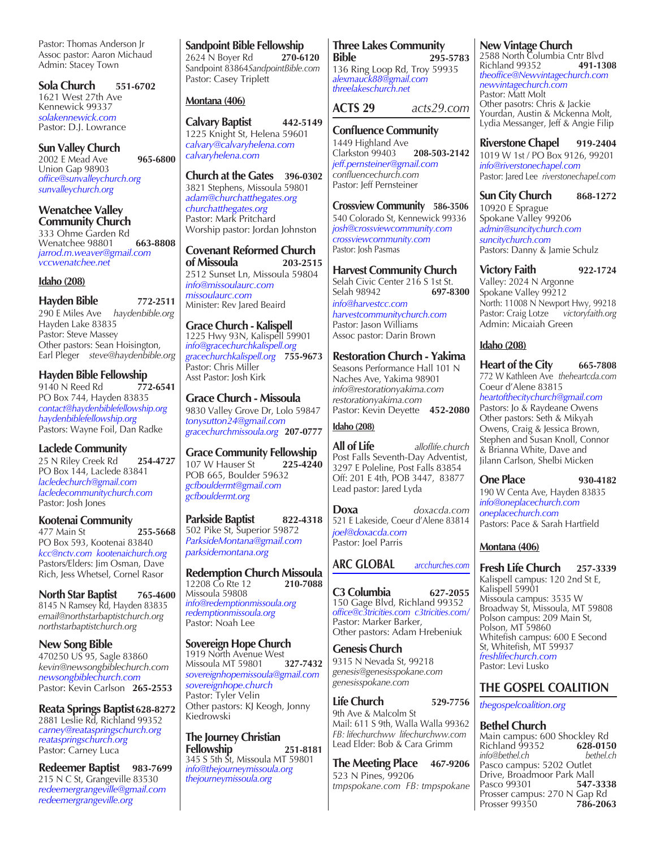Pastor: Thomas Anderson Jr Assoc pastor: Aaron Michaud Admin: Stacey Town

**Sola Church 551-6702** 1621 West 27th Ave Kennewick 99337 *solakennewick.com* Pastor: D.J. Lowrance

**Sun Valley Church** 2002 E Mead Ave **965-6800** Union Gap 98903 *office@sunvalleychurch.org sunvalleychurch.org*

**Wenatchee Valley Community Church** 333 Ohme Garden Rd Wenatchee 98801 **663-8808** *jarrod.m.weaver@gmail.com vccwenatchee.net*

#### **Idaho (208)**

**Hayden Bible 772-2511** 290 E Miles Ave *haydenbible.org* Hayden Lake 83835 Pastor: Steve Massey Other pastors: Sean Hoisington, Earl Pleger *steve@haydenbible.org*

**Hayden Bible Fellowship** 9140 N Reed Rd **772-6541** PO Box 744, Hayden 83835 *contact@haydenbiblefellowship.org haydenbiblefellowship.org* Pastors: Wayne Foil, Dan Radke

**Laclede Community**  25 N Riley Creek Rd **254-4727** PO Box 144, Laclede 83841 *lacledechurch@gmail.com lacledecommunitychurch.com* Pastor: Josh Jones

**Kootenai Community** 477 Main St **255-5668** PO Box 593, Kootenai 83840 *kcc@nctv.com kootenaichurch.org* Pastors/Elders: Jim Osman, Dave Rich, Jess Whetsel, Cornel Rasor

**North Star Baptist 765-4600** 8145 N Ramsey Rd, Hayden 83835 *email@northstarbaptistchurch.org northstarbaptistchurch.org*

**New Song Bible** 470250 US 95, Sagle 83860 *kevin@newsongbiblechurch.com newsongbiblechurch.com* Pastor: Kevin Carlson **265-2553**

**Reata Springs Baptist628-8272** 2881 Leslie Rd, Richland 99352 *carney@reataspringschurch.org reataspringschurch.org* Pastor: Carney Luca

**Redeemer Baptist 983-7699** 215 N C St, Grangeville 83530 *redeemergrangeville@gmail.com redeemergrangeville.org*

**Sandpoint Bible Fellowship** 2624 N Boyer Rd **270-6120** Sandpoint 83864*SandpointBible.com* Pastor: Casey Triplett

**Montana (406)**

**Calvary Baptist 442-5149** 1225 Knight St, Helena 59601 *calvary@calvaryhelena.com calvaryhelena.com*

**Church at the Gates 396-0302** 3821 Stephens, Missoula 59801 *adam@churchatthegates.org churchatthegates.org* Pastor: Mark Pritchard Worship pastor: Jordan Johnston

**Covenant Reformed Church of Missoula 203-2515** 2512 Sunset Ln, Missoula 59804 *info@missoulaurc.com missoulaurc.com* Minister: Rev Jared Beaird

**Grace Church - Kalispell** 1225 Hwy 93N, Kalispell 59901 *info@gracechurchkalispell.org gracechurchkalispell.org* **755-9673** Pastor: Chris Miller Asst Pastor: Josh Kirk

**Grace Church - Missoula** 9830 Valley Grove Dr, Lolo 59847 *tonysutton24@gmail.com gracechurchmissoula.org* **207-0777**

**Grace Community Fellowship** 107 W Hauser St **225-4240** POB 665, Boulder 59632 *gcfbouldermt@gmail.com gcfbouldermt.org*

**Parkside Baptist 822-4318** 502 Pike St, Superior 59872 *ParksideMontana@gmail.com parksidemontana.org* 

**Redemption Church Missoula**<br>12208 Co Rte 12 **210-7088** 12208 Co Rte 12 Missoula 59808 *info@redemptionmissoula.org redemptionmissoula.org* Pastor: Noah Lee

**Sovereign Hope Church**

1919 North Avenue West<br>Missoula MT 59801 327-7432 Missoula MT 59801 *sovereignhopemissoula@gmail.com sovereignhope.church* Pastor: Tyler Velin Other pastors: KJ Keogh, Jonny Kiedrowski

**The Journey Christian Fellowship** 345 S 5th St, Missoula MT 59801 *info@thejourneymissoula.org thejourneymissoula.org*

**Three Lakes Community Bible 295-5783** 136 Ring Loop Rd, Troy 59935 *alexmauck88@gmail.com threelakeschurch.net*

**ACTS 29** *acts29.com*

**Confluence Community**  1449 Highland Ave Clarkston 99403 **208-503-2142** *jeff.pernsteiner@gmail.com confluencechurch.com* Pastor: Jeff Pernsteiner

**Crossview Community 586-3506** 540 Colorado St, Kennewick 99336 *josh@crossviewcommunity.com crossviewcommunity.com* Pastor: Josh Pasmas

**Harvest Community Church**  Selah Civic Center 216 S 1st St.<br>Selah 98942 697-8300 Selah 98942 *info@harvestcc.com harvestcommunitychurch.com* Pastor: Jason Williams

Assoc pastor: Darin Brown

**Restoration Church - Yakima** Seasons Performance Hall 101 N Naches Ave, Yakima 98901 *info@restorationyakima.com restorationyakima.com* Pastor: Kevin Deyette **452-2080 Idaho (208)**

**All of Life** *alloflife.church* Post Falls Seventh-Day Adventist, 3297 E Poleline, Post Falls 83854 Off: 201 E 4th, POB 3447, 83877 Lead pastor: Jared Lyda

**Doxa** *doxacda.com*  521 E Lakeside, Coeur d'Alene 83814 *joel@doxacda.com* Pastor: Joel Parris

**ARC GLOBAL** *arcchurches.com*

**C3 Columbia 627-2055** 150 Gage Blvd, Richland 99352 *office@c3tricities.com c3tricities.com/* Pastor: Marker Barker, Other pastors: Adam Hrebeniuk

**Genesis Church**  9315 N Nevada St, 99218 *genesis@genesisspokane.com genesisspokane.com*

**Life Church 529-7756** 9th Ave & Malcolm St Mail: 611 S 9th, Walla Walla 99362 *FB: lifechurchww lifechurchww.com* Lead Elder: Bob & Cara Grimm

**The Meeting Place 467-9206** 523 N Pines, 99206 *tmpspokane.com FB: tmpspokane*

**New Vintage Church**

2588 North Columbia Cntr Blvd Richland 99352 **491-1308** *theoffice@Newvintagechurch.com newvintagechurch.com* Pastor: Matt Molt Other pasotrs: Chris & Jackie Yourdan, Austin & Mckenna Molt, Lydia Messanger, Jeff & Angie Filip

**Riverstone Chapel 919-2404** 1019 W 1st / PO Box 9126, 99201 *info@riverstonechapel.com* Pastor: Jared Lee *riverstonechapel.com*

**Sun City Church** 868-1272 10920 E Sprague Spokane Valley 99206 *admin@suncitychurch.com suncitychurch.com* Pastors: Danny & Jamie Schulz

**Victory Faith 922-1724** Valley: 2024 N Argonne Spokane Valley 99212 North: 11008 N Newport Hwy, 99218 Pastor: Craig Lotze *victoryfaith.org* Admin: Micaiah Green

# **Idaho (208)**

**Heart of the City 665-7808** 772 W Kathleen Ave *theheartcda.com* Coeur d'Alene 83815 *heartofthecitychurch@gmail.com* Pastors: Jo & Raydeane Owens Other pastors: Seth & Mikyah Owens, Craig & Jessica Brown, Stephen and Susan Knoll, Connor & Brianna White, Dave and Jilann Carlson, Shelbi Micken

**One Place 930-4182** 190 W Centa Ave, Hayden 83835 *info@oneplacechurch.com oneplacechurch.com* Pastors: Pace & Sarah Hartfield

# **Montana (406)**

**Fresh Life Church 257-3339** Kalispell campus: 120 2nd St E, Kalispell 59901 Missoula campus: 3535 W Broadway St, Missoula, MT 59808 Polson campus: 209 Main St, Polson, MT 59860 Whitefish campus: 600 E Second St, Whitefish, MT 59937 *freshlifechurch.com* Pastor: Levi Lusko

# **THE GOSPEL COALITION**

*thegospelcoalition.org*

## **Bethel Church**

Main campus: 600 Shockley Rd<br>Richland 99352 628-0150 Richland 99352 **628-0150**  *info@bethel.ch bethel.ch* Pasco campus: 5202 Outlet Drive, Broadmoor Park Mall Pasco 99301 **547-3338**  Prosser campus: 270 N Gap Rd<br>Prosser 99350 786-2063 Prosser 99350 **786-2063**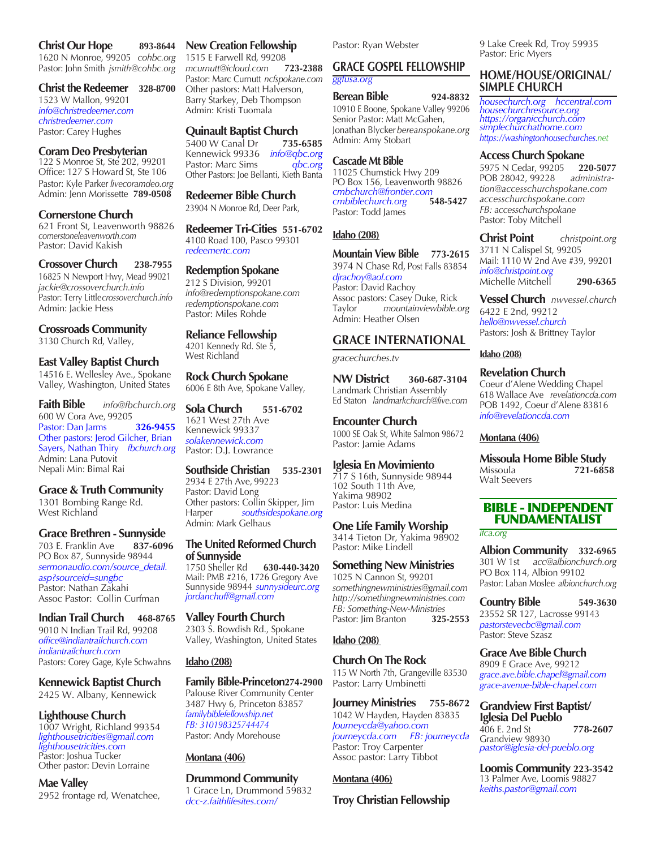#### **Christ Our Hope 893-8644**

1620 N Monroe, 99205 *cohbc.org* Pastor: John Smith *jsmith@cohbc.org*

#### **Christ the Redeemer 328-8700**

1523 W Mallon, 99201 *info@christredeemer.com christredeemer.com* Pastor: Carey Hughes

#### **Coram Deo Presbyterian**

122 S Monroe St, Ste 202, 99201 Office: 127 S Howard St, Ste 106 Pastor: Kyle Parker *livecoramdeo.org* Admin: Jenn Morissette **789-0508**

#### **Cornerstone Church**

621 Front St, Leavenworth 98826 *cornerstoneleavenworth.com* Pastor: David Kakish

# **Crossover Church 238-7955** 16825 N Newport Hwy, Mead 99021

*jackie@crossoverchurch.info* Pastor: Terry Little*crossoverchurch.info* Admin: Jackie Hess

## **Crossroads Community** 3130 Church Rd, Valley,

# **East Valley Baptist Church**

14516 E. Wellesley Ave., Spokane Valley, Washington, United States

**Faith Bible** *info@fbchurch.org* 600 W Cora Ave, 99205 Pastor: Dan Jarms **326-9455** Other pastors: Jerod Gilcher, Brian Sayers, Nathan Thiry *fbchurch.org* Admin: Lana Putovit Nepali Min: Bimal Rai

## **Grace & Truth Community**

1301 Bombing Range Rd. West Richland

## **Grace Brethren - Sunnyside**

703 E. Franklin Ave **837-6096** PO Box 87, Sunnyside 98944 *sermonaudio.com/source\_detail. asp?sourceid=sungbc* Pastor: Nathan Zakahi Assoc Pastor: Collin Curfman

**Indian Trail Church 468-8765** 9010 N Indian Trail Rd, 99208 *office@indiantrailchurch.com indiantrailchurch.com*  Pastors: Corey Gage, Kyle Schwahns

# **Kennewick Baptist Church**

2425 W. Albany, Kennewick

## **Lighthouse Church**

1007 Wright, Richland 99354 *lighthousetricities@gmail.com lighthousetricities.com* Pastor: Joshua Tucker Other pastor: Devin Lorraine

# **Mae Valley**

2952 frontage rd, Wenatchee,

#### **New Creation Fellowship**

1515 E Farwell Rd*,* 99208 *mcurnutt@icloud.com* **723-2388** Pastor: Marc Curnutt *ncfspokane.com* Other pastors: Matt Halverson, Barry Starkey, Deb Thompson Admin: Kristi Tuomala

#### **Quinault Baptist Church**

5400 W Canal Dr **735-6585** Kennewick 99336 *info@qbc.org* Pastor: Marc Sims Other Pastors: Joe Bellanti, Kieth Banta

# **Redeemer Bible Church**

23904 N Monroe Rd, Deer Park,

**Redeemer Tri-Cities 551-6702** 4100 Road 100, Pasco 99301 *redeemertc.com*

#### **Redemption Spokane**

212 S Division, 99201 *info@redemptionspokane.com redemptionspokane.com* Pastor: Miles Rohde

**Reliance Fellowship** 4201 Kennedy Rd. Ste 5, West Richland

**Rock Church Spokane** 6006 E 8th Ave, Spokane Valley,

**Sola Church 551-6702** 1621 West 27th Ave Kennewick 99337 *solakennewick.com* Pastor: D.J. Lowrance

# **Southside Christian 535-2301** 2934 E 27th Ave, 99223

Pastor: David Long Other pastors: Collin Skipper, Jim Harper *southsidespokane.org* Admin: Mark Gelhaus

# **The United Reformed Church of Sunnyside**

1750 Sheller Rd **630-440-3420** Mail: PMB #216, 1726 Gregory Ave Sunnyside 98944 *sunnysideurc.org jordanchuff@gmail.com* 

## **Valley Fourth Church**

2303 S. Bowdish Rd., Spokane Valley, Washington, United States

#### **Idaho (208)**

# **Family Bible-Princeton274-2900**

Palouse River Community Center 3487 Hwy 6, Princeton 83857 *familybiblefellowship.net FB: 310198325744474* Pastor: Andy Morehouse

## **Montana (406)**

# **Drummond Community**

1 Grace Ln, Drummond 59832 *dcc-z.faithlifesites.com/*

Pastor: Ryan Webster

#### **GRACE GOSPEL FELLOWSHIP** *ggfusa.org*

# **Berean Bible 924-8832**

10910 E Boone, Spokane Valley 99206 Senior Pastor: Matt McGahen, Jonathan Blycker*bereanspokane.org* Admin: Amy Stobart

## **Cascade Mt Bible**

11025 Chumstick Hwy 209 PO Box 156, Leavenworth 98826 *cmbchurch@frontier.com cmbiblechurch.org* **548-5427** Pastor: Todd James

# **Idaho (208)**

**Mountain View Bible 773-2615** 3974 N Chase Rd, Post Falls 83854 *djrachoy@aol.com* Pastor: David Rachoy Assoc pastors: Casey Duke, Rick Taylor *mountainviewbible.org* Admin: Heather Olsen

# **GRACE INTERNATIONAL**

*gracechurches.tv*

**NW District 360-687-3104** Landmark Christian Assembly Ed Staton *landmarkchurch@live.com*

**Encounter Church**  1000 SE Oak St, White Salmon 98672 Pastor: Jamie Adams

#### **Iglesia En Movimiento**

717 S 16th, Sunnyside 98944 102 South 11th Ave, Yakima 98902 Pastor: Luis Medina

# **One Life Family Worship**

3414 Tieton Dr, Yakima 98902 Pastor: Mike Lindell

# **Something New Ministries**

1025 N Cannon St, 99201 *somethingnewministries@gmail.com http://somethingnewministries.com FB: Something-New-Ministries* Pastor: Jim Branton **325-2553**

# **Idaho (208)**

#### **Church On The Rock**

115 W North 7th, Grangeville 83530 Pastor: Larry Umbinetti

**Journey Ministries 755-8672** 1042 W Hayden, Hayden 83835 *Journeycda@yahoo.com journeycda.com FB: journeycda* Pastor: Troy Carpenter Assoc pastor: Larry Tibbot

#### **Montana (406)**

## **Troy Christian Fellowship**

9 Lake Creek Rd, Troy 59935 Pastor: Eric Myers

# **HOME/HOUSE/ORIGINAL/ SIMPLE CHURCH**

*housechurch.org hccentral.com housechurchresource.org https://organicchurch.com simplechurchathome.com https://washingtonhousechurches.net*

#### **Access Church Spokane**

5975 N Cedar, 99205 **220-5077** POB 28042, 99228 *administration@accesschurchspokane.com accesschurchspokane.com FB: accesschurchspokane*  Pastor: Toby Mitchell

**Christ Point** *christpoint.org* 3711 N Calispel St, 99205 Mail: 1110 W 2nd Ave #39, 99201 *info@christpoint.org* Michelle Mitchell **290-6365**

**Vessel Church** *nwvessel.church* 6422 E 2nd, 99212 *hello@nwvessel.church* Pastors: Josh & Brittney Taylor

#### **Idaho (208)**

**Revelation Church** Coeur d'Alene Wedding Chapel 618 Wallace Ave *revelationcda.com* POB 1492, Coeur d'Alene 83816 *info@revelationcda.com*

#### **Montana (406)**

**Missoula Home Bible Study**<br>721-685 Missoula **721-6858** Walt Seevers

# BIBLE - INDEPENDENT FUNDAMENTALIST

*ifca.org*

**Albion Community 332-6965** 301 W 1st *acc@albionchurch.org* PO Box 114, Albion 99102 Pastor: Laban Moslee *albionchurch.org*

**Country Bible 549-3630** 23552 SR 127, Lacrosse 99143 *pastorstevecbc@gmail.com* Pastor: Steve Szasz

# **Grace Ave Bible Church**

8909 E Grace Ave, 99212 *grace.ave.bible.chapel@gmail.com grace-avenue-bible-chapel.com*

#### **Grandview First Baptist/ Iglesia Del Pueblo**

406 E. 2nd St **778-2607** Grandview 98930 *pastor@iglesia-del-pueblo.org*

**Loomis Community 223-3542** 13 Palmer Ave, Loomis 98827 *keiths.pastor@gmail.com*